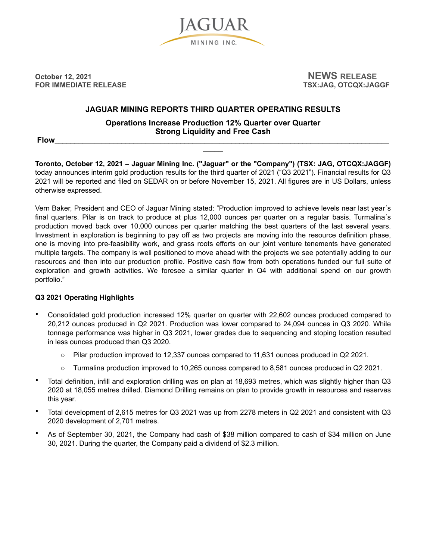

**October 12, 2021** 2021 2021 **FOR IMMEDIATE RELEASE TO A RELOCAL SERVICE OF A RELOCAL SERVICE OF A RELOCAL SERVICE OF A RELOCAL SERVICE OF A RELOCAL SERVICE OF A RELOCAL SERVICE OF A RELOCAL SERVICE OF A RELOCAL SERVICE OF A RELOCAL SERVICE OF A RELOC** 

# **JAGUAR MINING REPORTS THIRD QUARTER OPERATING RESULTS**

**Operations Increase Production 12% Quarter over Quarter Strong Liquidity and Free Cash** 

 $\overline{\phantom{a}}$ 

**Flow**\_\_\_\_\_\_\_\_\_\_\_\_\_\_\_\_\_\_\_\_\_\_\_\_\_\_\_\_\_\_\_\_\_\_\_\_\_\_\_\_\_\_\_\_\_\_\_\_\_\_\_\_\_\_\_\_\_\_\_\_\_\_\_\_\_\_\_\_\_\_\_\_\_\_\_\_\_\_\_\_\_\_\_\_\_

**Toronto, October 12, 2021 – Jaguar Mining Inc. ("Jaguar" or the "Company") (TSX: JAG, OTCQX:JAGGF)**  today announces interim gold production results for the third quarter of 2021 ("Q3 2021"). Financial results for Q3 2021 will be reported and filed on SEDAR on or before November 15, 2021. All figures are in US Dollars, unless otherwise expressed.

Vern Baker, President and CEO of Jaguar Mining stated: "Production improved to achieve levels near last year´s final quarters. Pilar is on track to produce at plus 12,000 ounces per quarter on a regular basis. Turmalina's production moved back over 10,000 ounces per quarter matching the best quarters of the last several years. Investment in exploration is beginning to pay off as two projects are moving into the resource definition phase, one is moving into pre-feasibility work, and grass roots efforts on our joint venture tenements have generated multiple targets. The company is well positioned to move ahead with the projects we see potentially adding to our resources and then into our production profile. Positive cash flow from both operations funded our full suite of exploration and growth activities. We foresee a similar quarter in Q4 with additional spend on our growth portfolio."

## **Q3 2021 Operating Highlights**

- Consolidated gold production increased 12% quarter on quarter with 22,602 ounces produced compared to 20,212 ounces produced in Q2 2021. Production was lower compared to 24,094 ounces in Q3 2020. While tonnage performance was higher in Q3 2021, lower grades due to sequencing and stoping location resulted in less ounces produced than Q3 2020.
	- o Pilar production improved to 12,337 ounces compared to 11,631 ounces produced in Q2 2021.
	- o Turmalina production improved to 10,265 ounces compared to 8,581 ounces produced in Q2 2021.
- Total definition, infill and exploration drilling was on plan at 18,693 metres, which was slightly higher than Q3 2020 at 18,055 metres drilled. Diamond Drilling remains on plan to provide growth in resources and reserves this year.
- Total development of 2,615 metres for Q3 2021 was up from 2278 meters in Q2 2021 and consistent with Q3 2020 development of 2,701 metres.
- As of September 30, 2021, the Company had cash of \$38 million compared to cash of \$34 million on June 30, 2021. During the quarter, the Company paid a dividend of \$2.3 million.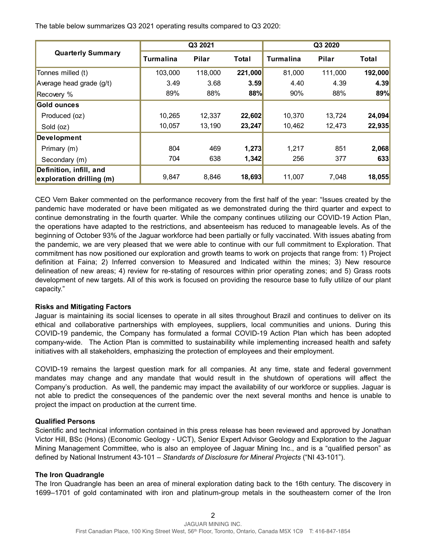The table below summarizes Q3 2021 operating results compared to Q3 2020:

| <b>Quarterly Summary</b> | Q3 2021          |              |              | Q3 2020   |              |         |
|--------------------------|------------------|--------------|--------------|-----------|--------------|---------|
|                          | <b>Turmalina</b> | <b>Pilar</b> | <b>Total</b> | Turmalina | <b>Pilar</b> | Total   |
| Tonnes milled (t)        | 103,000          | 118,000      | 221,000      | 81,000    | 111,000      | 192,000 |
| Average head grade (g/t) | 3.49             | 3.68         | 3.59         | 4.40      | 4.39         | 4.39    |
| Recovery %               | 89%              | 88%          | 88%          | 90%       | 88%          | 89%     |
| Gold ounces              |                  |              |              |           |              |         |
| Produced (oz)            | 10,265           | 12,337       | 22,602       | 10,370    | 13.724       | 24,094  |
| Sold (oz)                | 10,057           | 13,190       | 23,247       | 10,462    | 12,473       | 22,935  |
| <b>Development</b>       |                  |              |              |           |              |         |
| Primary (m)              | 804              | 469          | 1,273        | 1,217     | 851          | 2,068   |
| Secondary (m)            | 704              | 638          | 1,342        | 256       | 377          | 633     |
| Definition, infill, and  |                  |              |              |           |              |         |
| exploration drilling (m) | 9,847            | 8,846        | 18,693       | 11,007    | 7,048        | 18,055  |

CEO Vern Baker commented on the performance recovery from the first half of the year: "Issues created by the pandemic have moderated or have been mitigated as we demonstrated during the third quarter and expect to continue demonstrating in the fourth quarter. While the company continues utilizing our COVID-19 Action Plan, the operations have adapted to the restrictions, and absenteeism has reduced to manageable levels. As of the beginning of October 93% of the Jaguar workforce had been partially or fully vaccinated. With issues abating from the pandemic, we are very pleased that we were able to continue with our full commitment to Exploration. That commitment has now positioned our exploration and growth teams to work on projects that range from: 1) Project definition at Faina; 2) Inferred conversion to Measured and Indicated within the mines; 3) New resource delineation of new areas; 4) review for re-stating of resources within prior operating zones; and 5) Grass roots development of new targets. All of this work is focused on providing the resource base to fully utilize of our plant capacity."

## **Risks and Mitigating Factors**

Jaguar is maintaining its social licenses to operate in all sites throughout Brazil and continues to deliver on its ethical and collaborative partnerships with employees, suppliers, local communities and unions. During this COVID-19 pandemic, the Company has formulated a formal COVID-19 Action Plan which has been adopted company-wide. The Action Plan is committed to sustainability while implementing increased health and safety initiatives with all stakeholders, emphasizing the protection of employees and their employment.

COVID-19 remains the largest question mark for all companies. At any time, state and federal government mandates may change and any mandate that would result in the shutdown of operations will affect the Company's production. As well, the pandemic may impact the availability of our workforce or supplies. Jaguar is not able to predict the consequences of the pandemic over the next several months and hence is unable to project the impact on production at the current time.

#### **Qualified Persons**

Scientific and technical information contained in this press release has been reviewed and approved by Jonathan Victor Hill, BSc (Hons) (Economic Geology - UCT), Senior Expert Advisor Geology and Exploration to the Jaguar Mining Management Committee, who is also an employee of Jaguar Mining Inc., and is a "qualified person" as defined by National Instrument 43-101 – *Standards of Disclosure for Mineral Projects* ("NI 43-101").

## **The Iron Quadrangle**

The Iron Quadrangle has been an area of mineral exploration dating back to the 16th century. The discovery in 1699–1701 of gold contaminated with iron and platinum-group metals in the southeastern corner of the Iron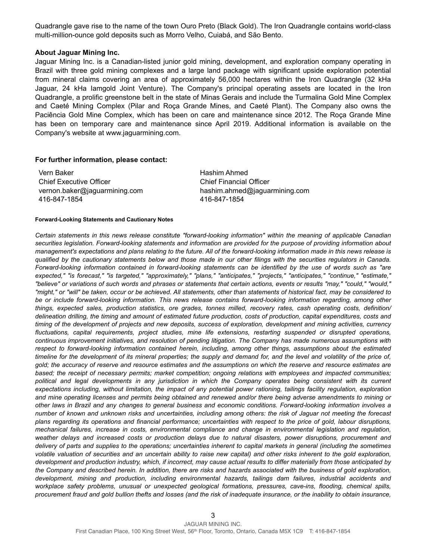Quadrangle gave rise to the name of the town Ouro Preto (Black Gold). The Iron Quadrangle contains world-class multi-million-ounce gold deposits such as Morro Velho, Cuiabá, and São Bento.

#### **About Jaguar Mining Inc.**

Jaguar Mining Inc. is a Canadian-listed junior gold mining, development, and exploration company operating in Brazil with three gold mining complexes and a large land package with significant upside exploration potential from mineral claims covering an area of approximately 56,000 hectares within the Iron Quadrangle (32 kHa Jaguar, 24 kHa Iamgold Joint Venture). The Company's principal operating assets are located in the Iron Quadrangle, a prolific greenstone belt in the state of Minas Gerais and include the Turmalina Gold Mine Complex and Caeté Mining Complex (Pilar and Roça Grande Mines, and Caeté Plant). The Company also owns the Paciência Gold Mine Complex, which has been on care and maintenance since 2012. The Roça Grande Mine has been on temporary care and maintenance since April 2019. Additional information is available on the Company's website at www.jaguarmining.com.

#### **For further information, please contact:**

Vern Baker Chief Executive Officer vernon.baker@jaguarmining.com 416-847-1854

Hashim Ahmed Chief Financial Officer hashim.ahmed@jaguarmining.com 416-847-1854

#### **Forward-Looking Statements and Cautionary Notes**

*Certain statements in this news release constitute "forward-looking information" within the meaning of applicable Canadian securities legislation. Forward-looking statements and information are provided for the purpose of providing information about management's expectations and plans relating to the future. All of the forward-looking information made in this news release is qualified by the cautionary statements below and those made in our other filings with the securities regulators in Canada. Forward-looking information contained in forward-looking statements can be identified by the use of words such as "are expected," "is forecast," "is targeted," "approximately," "plans," "anticipates," "projects," "anticipates," "continue," "estimate," "believe" or variations of such words and phrases or statements that certain actions, events or results "may," "could," "would," "might," or "will" be taken, occur or be achieved. All statements, other than statements of historical fact, may be considered to be or include forward-looking information. This news release contains forward-looking information regarding, among other things, expected sales, production statistics, ore grades, tonnes milled, recovery rates, cash operating costs, definition/ delineation drilling, the timing and amount of estimated future production, costs of production, capital expenditures, costs and timing of the development of projects and new deposits, success of exploration, development and mining activities, currency fluctuations, capital requirements, project studies, mine life extensions, restarting suspended or disrupted operations, continuous improvement initiatives, and resolution of pending litigation. The Company has made numerous assumptions with respect to forward-looking information contained herein, including, among other things, assumptions about the estimated timeline for the development of its mineral properties; the supply and demand for, and the level and volatility of the price of, gold; the accuracy of reserve and resource estimates and the assumptions on which the reserve and resource estimates are based; the receipt of necessary permits; market competition; ongoing relations with employees and impacted communities; political and legal developments in any jurisdiction in which the Company operates being consistent with its current expectations including, without limitation, the impact of any potential power rationing, tailings facility regulation, exploration and mine operating licenses and permits being obtained and renewed and/or there being adverse amendments to mining or other laws in Brazil and any changes to general business and economic conditions. Forward-looking information involves a number of known and unknown risks and uncertainties, including among others: the risk of Jaguar not meeting the forecast plans regarding its operations and financial performance; uncertainties with respect to the price of gold, labour disruptions, mechanical failures, increase in costs, environmental compliance and change in environmental legislation and regulation, weather delays and increased costs or production delays due to natural disasters, power disruptions, procurement and delivery of parts and supplies to the operations; uncertainties inherent to capital markets in general (including the sometimes*  volatile valuation of securities and an uncertain ability to raise new capital) and other risks inherent to the gold exploration, *development and production industry, which, if incorrect, may cause actual results to differ materially from those anticipated by the Company and described herein. In addition, there are risks and hazards associated with the business of gold exploration, development, mining and production, including environmental hazards, tailings dam failures, industrial accidents and workplace safety problems, unusual or unexpected geological formations, pressures, cave-ins, flooding, chemical spills, procurement fraud and gold bullion thefts and losses (and the risk of inadequate insurance, or the inability to obtain insurance,*